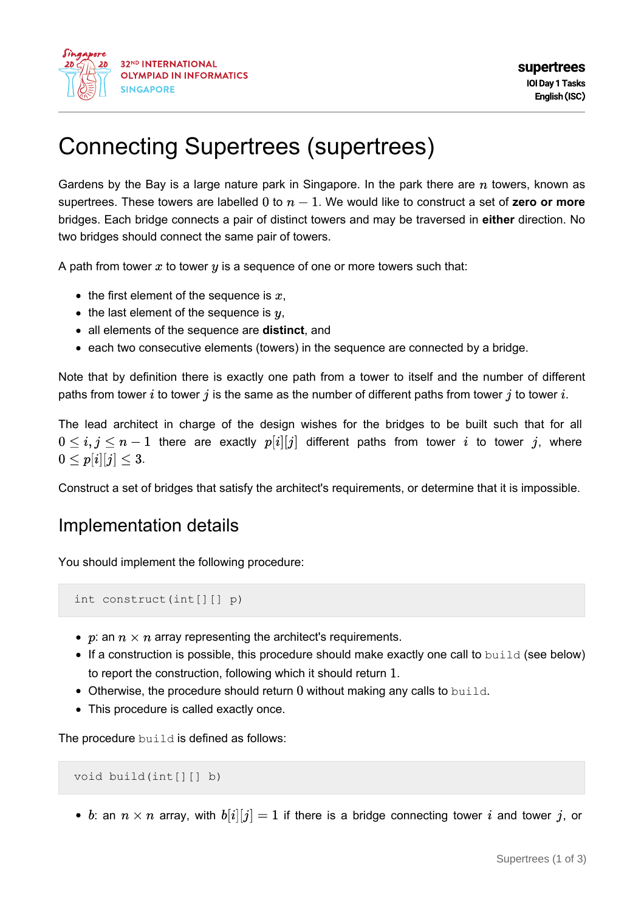

# Connecting Supertrees (supertrees)

Gardens by the Bay is a large nature park in Singapore. In the park there are  $n$  towers, known as supertrees. These towers are labelled  $0$  to  $n - 1$ . We would like to construct a set of **zero** or more bridges. Each bridge connects a pair of distinct towers and may be traversed in **either** direction. No two bridges should connect the same pair of towers.

A path from tower  $x$  to tower  $y$  is a sequence of one or more towers such that:

- $\bullet$  the first element of the sequence is  $x$ ,
- $\bullet$  the last element of the sequence is  $y$ ,
- all elements of the sequence are **distinct**, and
- each two consecutive elements (towers) in the sequence are connected by a bridge.

Note that by definition there is exactly one path from a tower to itself and the number of different paths from tower i to tower j is the same as the number of different paths from tower j to tower i.

The lead architect in charge of the design wishes for the bridges to be built such that for all  $t_0 \leq i, j \leq n-1$  there are exactly  $p[i][j]$  different paths from tower i to tower j, where  $0 < p[i][j] < 3.$ 

Construct a set of bridges that satisfy the architect's requirements, or determine that it is impossible.

### Implementation details

You should implement the following procedure:

int construct(int[][] p)

- p: an  $n \times n$  array representing the architect's requirements.
- $\bullet$  If a construction is possible, this procedure should make exactly one call to build (see below) to report the construction, following which it should return  $1$ .
- $\bullet$  Otherwise, the procedure should return 0 without making any calls to build.
- This procedure is called exactly once.

The procedure build is defined as follows:

void build(int[][] b)

• b: an  $n \times n$  array, with  $b[i][j] = 1$  if there is a bridge connecting tower i and tower j, or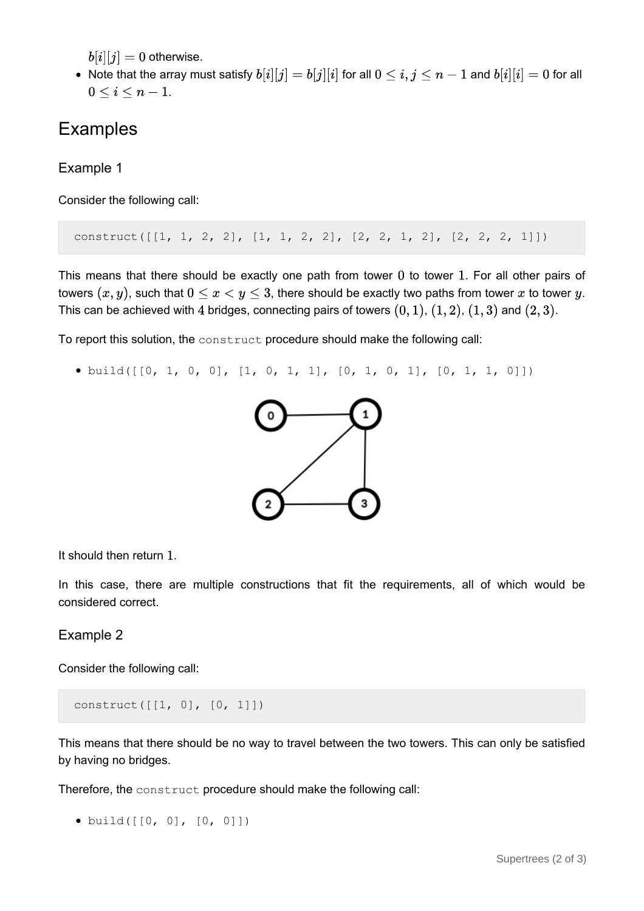$b[i][j] = 0$  otherwise.

• Note that the array must satisfy  $b[i][j] = b[j][i]$  for all  $0 \le i, j \le n-1$  and  $b[i][i] = 0$  for all  $0 \leq i \leq n-1$ .

## Examples

Example 1

Consider the following call:

construct( $[1, 1, 2, 2], [1, 1, 2, 2], [2, 2, 1, 2], [2, 2, 2, 1]]$ )

This means that there should be exactly one path from tower  $0$  to tower  $1$ . For all other pairs of towers  $(x, y)$ , such that  $0 \le x < y \le 3$ , there should be exactly two paths from tower x to tower y. This can be achieved with 4 bridges, connecting pairs of towers  $(0, 1)$ ,  $(1, 2)$ ,  $(1, 3)$  and  $(2, 3)$ .

To report this solution, the construct procedure should make the following call:

• build( $[0, 1, 0, 0]$ ,  $[1, 0, 1, 1]$ ,  $[0, 1, 0, 1]$ ,  $[0, 1, 1, 0]$ )



It should then return  $1$ .

In this case, there are multiple constructions that fit the requirements, all of which would be considered correct.

#### Example 2

Consider the following call:

construct([[1, 0], [0, 1]])

This means that there should be no way to travel between the two towers. This can only be satisfied by having no bridges.

Therefore, the construct procedure should make the following call:

```
build([[0, 0], [0, 0]])
```